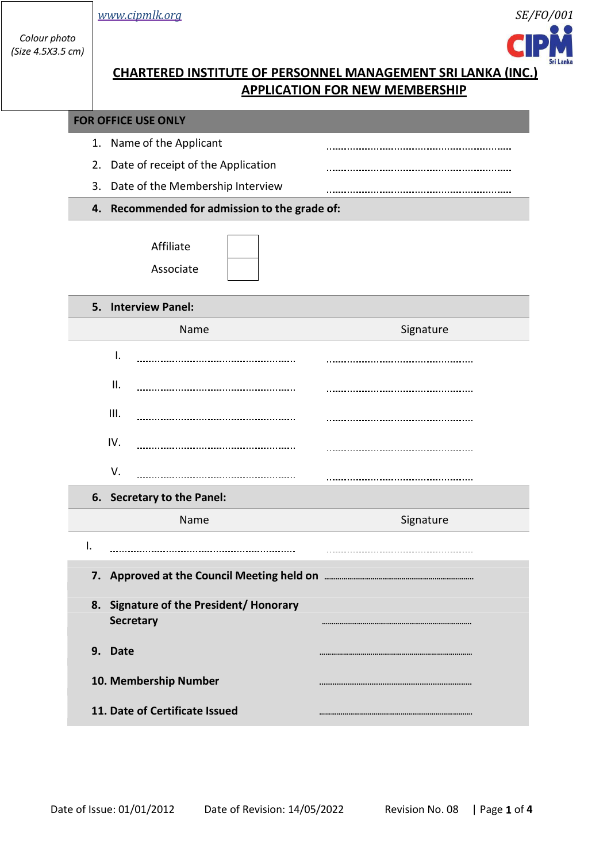*[www.cipmlk.org](http://www.cipmlk.org/) SE/FO/001*

**FOR OFFICE USE ONLY**

*Colour photo (Size 4.5X3.5 cm)*



# **CHARTERED INSTITUTE OF PERSONNEL MANAGEMENT SRI LANKA (INC.) APPLICATION FOR NEW MEMBERSHIP**

| Name of the Applicant<br>1.                                 |           |
|-------------------------------------------------------------|-----------|
| Date of receipt of the Application<br>2.                    |           |
| 3.<br>Date of the Membership Interview                      |           |
| 4. Recommended for admission to the grade of:               |           |
| Affiliate<br>Associate                                      |           |
| <b>Interview Panel:</b><br>5.                               |           |
| Name                                                        | Signature |
| Ι.                                                          |           |
| ΙΙ.                                                         |           |
|                                                             |           |
| III.                                                        |           |
| IV.                                                         |           |
| V.                                                          |           |
| 6. Secretary to the Panel:                                  |           |
| Name                                                        | Signature |
| ı.                                                          |           |
|                                                             |           |
| 8. Signature of the President/ Honorary<br><b>Secretary</b> |           |
| 9. Date                                                     |           |
| 10. Membership Number                                       |           |
| 11. Date of Certificate Issued                              |           |
|                                                             |           |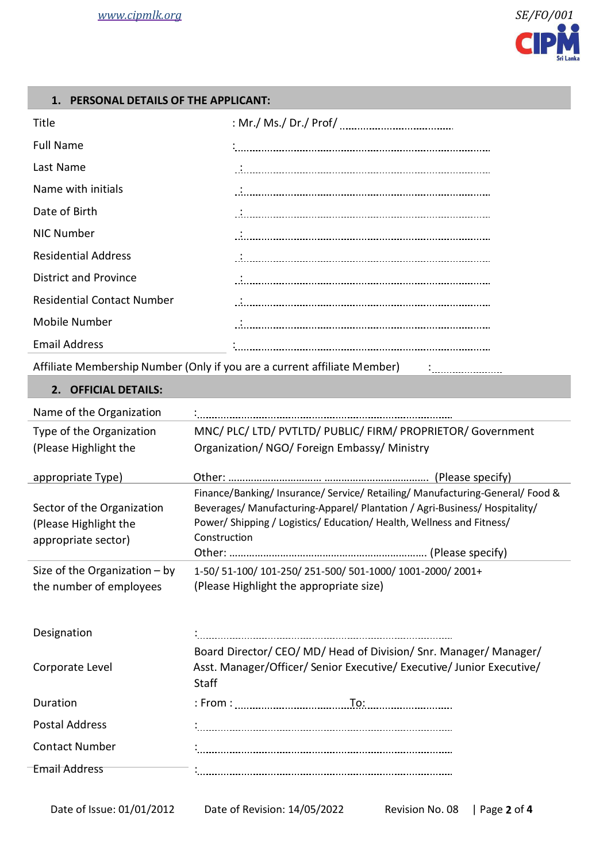

## **1. PERSONAL DETAILS OF THE APPLICANT:**

| Title                                                                      |                                                                                                                                                                                                                                                      |
|----------------------------------------------------------------------------|------------------------------------------------------------------------------------------------------------------------------------------------------------------------------------------------------------------------------------------------------|
| <b>Full Name</b>                                                           |                                                                                                                                                                                                                                                      |
| Last Name                                                                  |                                                                                                                                                                                                                                                      |
| Name with initials                                                         |                                                                                                                                                                                                                                                      |
| Date of Birth                                                              |                                                                                                                                                                                                                                                      |
| <b>NIC Number</b>                                                          |                                                                                                                                                                                                                                                      |
| <b>Residential Address</b>                                                 |                                                                                                                                                                                                                                                      |
| <b>District and Province</b>                                               |                                                                                                                                                                                                                                                      |
| <b>Residential Contact Number</b>                                          |                                                                                                                                                                                                                                                      |
| <b>Mobile Number</b>                                                       |                                                                                                                                                                                                                                                      |
| <b>Email Address</b>                                                       |                                                                                                                                                                                                                                                      |
|                                                                            | Affiliate Membership Number (Only if you are a current affiliate Member)                                                                                                                                                                             |
| 2. OFFICIAL DETAILS:                                                       |                                                                                                                                                                                                                                                      |
| Name of the Organization                                                   |                                                                                                                                                                                                                                                      |
| Type of the Organization<br>(Please Highlight the                          | MNC/ PLC/ LTD/ PVTLTD/ PUBLIC/ FIRM/ PROPRIETOR/ Government<br>Organization/ NGO/ Foreign Embassy/ Ministry                                                                                                                                          |
|                                                                            |                                                                                                                                                                                                                                                      |
| appropriate Type)                                                          |                                                                                                                                                                                                                                                      |
| Sector of the Organization<br>(Please Highlight the<br>appropriate sector) | Finance/Banking/ Insurance/ Service/ Retailing/ Manufacturing-General/ Food &<br>Beverages/ Manufacturing-Apparel/ Plantation / Agri-Business/ Hospitality/<br>Power/ Shipping / Logistics/ Education/ Health, Wellness and Fitness/<br>Construction |
| Size of the Organization - by<br>the number of employees                   | 1-50/ 51-100/ 101-250/ 251-500/ 501-1000/ 1001-2000/ 2001+<br>(Please Highlight the appropriate size)                                                                                                                                                |
| Designation                                                                |                                                                                                                                                                                                                                                      |
| Corporate Level                                                            | Board Director/ CEO/ MD/ Head of Division/ Snr. Manager/ Manager/<br>Asst. Manager/Officer/ Senior Executive/ Executive/ Junior Executive/<br><b>Staff</b>                                                                                           |
| Duration                                                                   |                                                                                                                                                                                                                                                      |
| <b>Postal Address</b>                                                      |                                                                                                                                                                                                                                                      |
| <b>Contact Number</b>                                                      |                                                                                                                                                                                                                                                      |

Date of Issue: 01/01/2012 Date of Revision: 14/05/2022 Revision No. 08 | Page **2** of **4**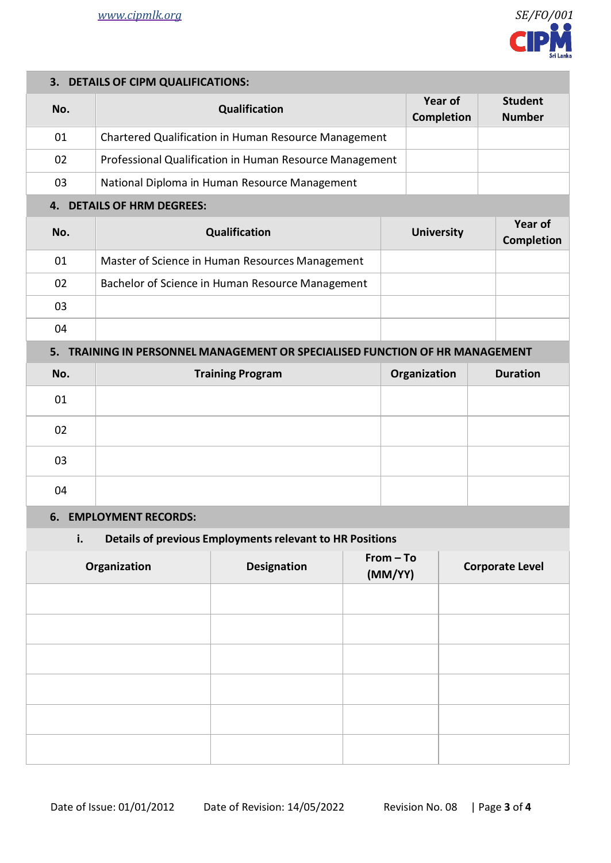

| 3. DETAILS OF CIPM QUALIFICATIONS: |                                                         |                              |                                 |
|------------------------------------|---------------------------------------------------------|------------------------------|---------------------------------|
| No.                                | <b>Qualification</b>                                    | Year of<br><b>Completion</b> | <b>Student</b><br><b>Number</b> |
| 01                                 | Chartered Qualification in Human Resource Management    |                              |                                 |
| 02                                 | Professional Qualification in Human Resource Management |                              |                                 |
| 03                                 | National Diploma in Human Resource Management           |                              |                                 |

#### **4. DETAILS OF HRM DEGREES:**

| No. | <b>Qualification</b>                             | <b>University</b> | Year of<br>Completion |
|-----|--------------------------------------------------|-------------------|-----------------------|
| 01  | Master of Science in Human Resources Management  |                   |                       |
| 02  | Bachelor of Science in Human Resource Management |                   |                       |
| 03  |                                                  |                   |                       |
| 04  |                                                  |                   |                       |

### **5. TRAINING IN PERSONNEL MANAGEMENT OR SPECIALISED FUNCTION OF HR MANAGEMENT**

| No. | <b>Training Program</b> | Organization | <b>Duration</b> |
|-----|-------------------------|--------------|-----------------|
| 01  |                         |              |                 |
| 02  |                         |              |                 |
| 03  |                         |              |                 |
| 04  |                         |              |                 |

#### **6. EMPLOYMENT RECORDS:**

### **i. Details of previous Employmentsrelevant to HR Positions**

| Organization | <b>Designation</b> | $From - To$<br>(MM/YY) | <b>Corporate Level</b> |
|--------------|--------------------|------------------------|------------------------|
|              |                    |                        |                        |
|              |                    |                        |                        |
|              |                    |                        |                        |
|              |                    |                        |                        |
|              |                    |                        |                        |
|              |                    |                        |                        |